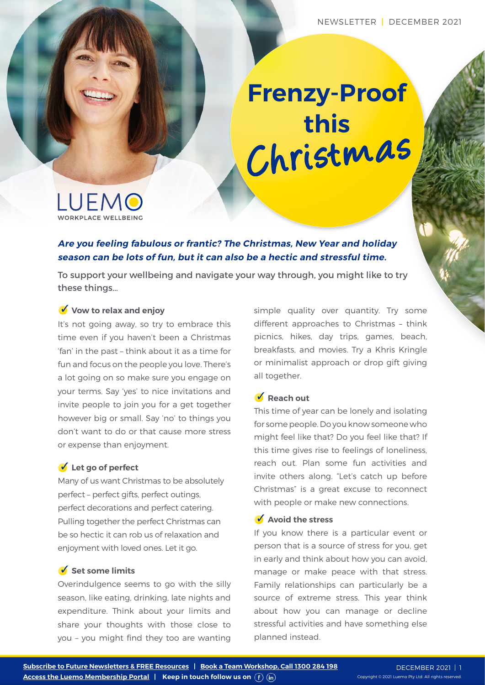# Christmas **Frenzy-Proof this**



**Are you feeling fabulous or frantic? The Christmas, New Year and holiday season can be lots of fun, but it can also be a hectic and stressful time.** 

To support your wellbeing and navigate your way through, you might like to try these things…

## **Vow to relax and enjoy**

It's not going away, so try to embrace this time even if you haven't been a Christmas 'fan' in the past – think about it as a time for fun and focus on the people you love. There's a lot going on so make sure you engage on your terms. Say 'yes' to nice invitations and invite people to join you for a get together however big or small. Say 'no' to things you don't want to do or that cause more stress or expense than enjoyment.

#### **Let go of perfect**

Many of us want Christmas to be absolutely perfect – perfect gifts, perfect outings, perfect decorations and perfect catering. Pulling together the perfect Christmas can be so hectic it can rob us of relaxation and enjoyment with loved ones. Let it go.

## ■ Set some limits

Overindulgence seems to go with the silly season, like eating, drinking, late nights and expenditure. Think about your limits and share your thoughts with those close to you – you might find they too are wanting simple quality over quantity. Try some different approaches to Christmas – think picnics, hikes, day trips, games, beach, breakfasts, and movies. Try a Khris Kringle or minimalist approach or drop gift giving all together.

#### **V** Reach out

This time of year can be lonely and isolating for some people. Do you know someone who might feel like that? Do you feel like that? If this time gives rise to feelings of loneliness, reach out. Plan some fun activities and invite others along. "Let's catch up before Christmas" is a great excuse to reconnect with people or make new connections.

#### **Avoid the stress**

If you know there is a particular event or person that is a source of stress for you, get in early and think about how you can avoid, manage or make peace with that stress. Family relationships can particularly be a source of extreme stress. This year think about how you can manage or decline stressful activities and have something else planned instead.